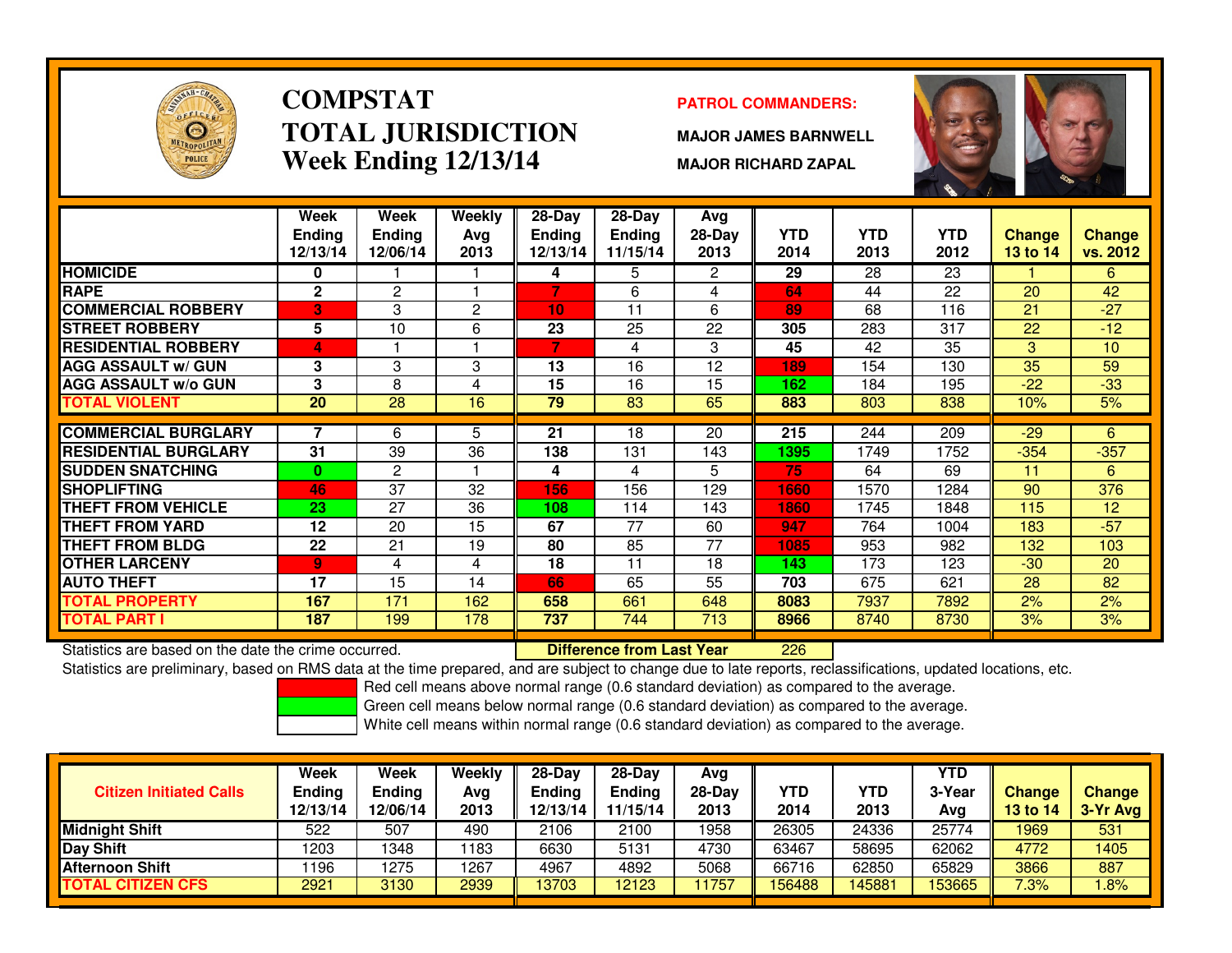

# **COMPSTATTOTAL JURISDICTIONWeek Ending 12/13/14**

### **PATROL COMMANDERS:**

**MAJOR JAMES BARNWELL**

**MAJOR RICHARD ZAPAL**



|                             | Week            | <b>Week</b>    | Weekly         | $28 - Day$      | $28 - Day$    | Avg                  |            |            |            |               |                 |
|-----------------------------|-----------------|----------------|----------------|-----------------|---------------|----------------------|------------|------------|------------|---------------|-----------------|
|                             | <b>Ending</b>   | <b>Ending</b>  | Avg            | <b>Ending</b>   | <b>Ending</b> | $28-Day$             | <b>YTD</b> | <b>YTD</b> | <b>YTD</b> | <b>Change</b> | <b>Change</b>   |
|                             | 12/13/14        | 12/06/14       | 2013           | 12/13/14        | 11/15/14      | 2013                 | 2014       | 2013       | 2012       | 13 to 14      | vs. 2012        |
| <b>HOMICIDE</b>             | 0               |                |                | 4               | 5             | $\mathbf{2}^{\circ}$ | 29         | 28         | 23         |               | 6               |
| <b>RAPE</b>                 | $\mathbf{2}$    | $\overline{2}$ |                | 7               | 6             | 4                    | 64         | 44         | 22         | 20            | 42              |
| <b>COMMERCIAL ROBBERY</b>   | 3               | 3              | $\overline{c}$ | 10              | 11            | 6                    | 89         | 68         | 116        | 21            | $-27$           |
| <b>STREET ROBBERY</b>       | 5               | 10             | 6              | 23              | 25            | 22                   | 305        | 283        | 317        | 22            | $-12$           |
| <b>RESIDENTIAL ROBBERY</b>  | 4               |                |                |                 | 4             | 3                    | 45         | 42         | 35         | 3             | 10 <sup>1</sup> |
| <b>AGG ASSAULT w/ GUN</b>   | 3               | 3              | 3              | 13              | 16            | 12                   | 189        | 154        | 130        | 35            | 59              |
| <b>AGG ASSAULT w/o GUN</b>  | 3               | 8              | 4              | $\overline{15}$ | 16            | 15                   | 162        | 184        | 195        | $-22$         | $-33$           |
| <b>TOTAL VIOLENT</b>        | $\overline{20}$ | 28             | 16             | 79              | 83            | 65                   | 883        | 803        | 838        | 10%           | 5%              |
|                             |                 |                |                |                 |               |                      |            |            |            |               |                 |
| <b>COMMERCIAL BURGLARY</b>  |                 | 6              | 5              | 21              | 18            | 20                   | 215        | 244        | 209        | $-29$         | 6               |
| <b>RESIDENTIAL BURGLARY</b> | 31              | 39             | 36             | 138             | 131           | 143                  | 1395       | 1749       | 1752       | $-354$        | $-357$          |
| <b>SUDDEN SNATCHING</b>     | $\mathbf{0}$    | $\overline{2}$ |                | 4               | 4             | 5                    | 75         | 64         | 69         | 11            | 6               |
| <b>SHOPLIFTING</b>          | 46              | 37             | 32             | 156             | 156           | 129                  | 1660       | 1570       | 1284       | 90            | 376             |
| <b>THEFT FROM VEHICLE</b>   | 23              | 27             | 36             | 108             | 114           | 143                  | 1860       | 1745       | 1848       | 115           | 12              |
| THEFT FROM YARD             | 12              | 20             | 15             | 67              | 77            | 60                   | 947        | 764        | 1004       | 183           | $-57$           |
| <b>THEFT FROM BLDG</b>      | 22              | 21             | 19             | 80              | 85            | 77                   | 1085       | 953        | 982        | 132           | 103             |
| <b>OTHER LARCENY</b>        | 9 <sub>1</sub>  | 4              | 4              | 18              | 11            | 18                   | 143        | 173        | 123        | $-30$         | 20              |
| <b>AUTO THEFT</b>           | 17              | 15             | 14             | 66              | 65            | 55                   | 703        | 675        | 621        | 28            | 82              |
| <b>TOTAL PROPERTY</b>       | 167             | 171            | 162            | 658             | 661           | 648                  | 8083       | 7937       | 7892       | 2%            | 2%              |
| <b>TOTAL PART I</b>         | 187             | 199            | 178            | 737             | 744           | 713                  | 8966       | 8740       | 8730       | 3%            | 3%              |

Statistics are based on the date the crime occurred. **Difference from Last Year** 

<sup>226</sup>

Statistics are preliminary, based on RMS data at the time prepared, and are subject to change due to late reports, reclassifications, updated locations, etc.

Red cell means above normal range (0.6 standard deviation) as compared to the average.

Green cell means below normal range (0.6 standard deviation) as compared to the average.

| <b>Citizen Initiated Calls</b> | Week<br><b>Ending</b><br>12/13/14 | <b>Week</b><br>Endina<br>12/06/14 | Weekly<br>Avg<br>2013 | $28$ -Day<br>Ending<br>12/13/14 | $28-Dav$<br><b>Ending</b><br>11/15/14 | Avg<br>28-Dav<br>2013 | YTD<br>2014 | YTD<br>2013 | <b>YTD</b><br>3-Year<br>Avg | <b>Change</b><br><b>13 to 14</b> | <b>Change</b><br>3-Yr Avg |
|--------------------------------|-----------------------------------|-----------------------------------|-----------------------|---------------------------------|---------------------------------------|-----------------------|-------------|-------------|-----------------------------|----------------------------------|---------------------------|
| <b>Midnight Shift</b>          | 522                               | 507                               | 490                   | 2106                            | 2100                                  | 1958                  | 26305       | 24336       | 25774                       | 1969                             | 531                       |
| Day Shift                      | 1203                              | 1348                              | 183                   | 6630                            | 5131                                  | 4730                  | 63467       | 58695       | 62062                       | 4772                             | 1405                      |
| <b>Afternoon Shift</b>         | 196                               | 1275                              | 1267                  | 4967                            | 4892                                  | 5068                  | 66716       | 62850       | 65829                       | 3866                             | 887                       |
| <b>TOTAL CITIZEN CFS</b>       | 2921                              | 3130                              | 2939                  | 13703                           | 12123                                 | 1757                  | 56488       | 145881      | 153665                      | 7.3%                             | .8%                       |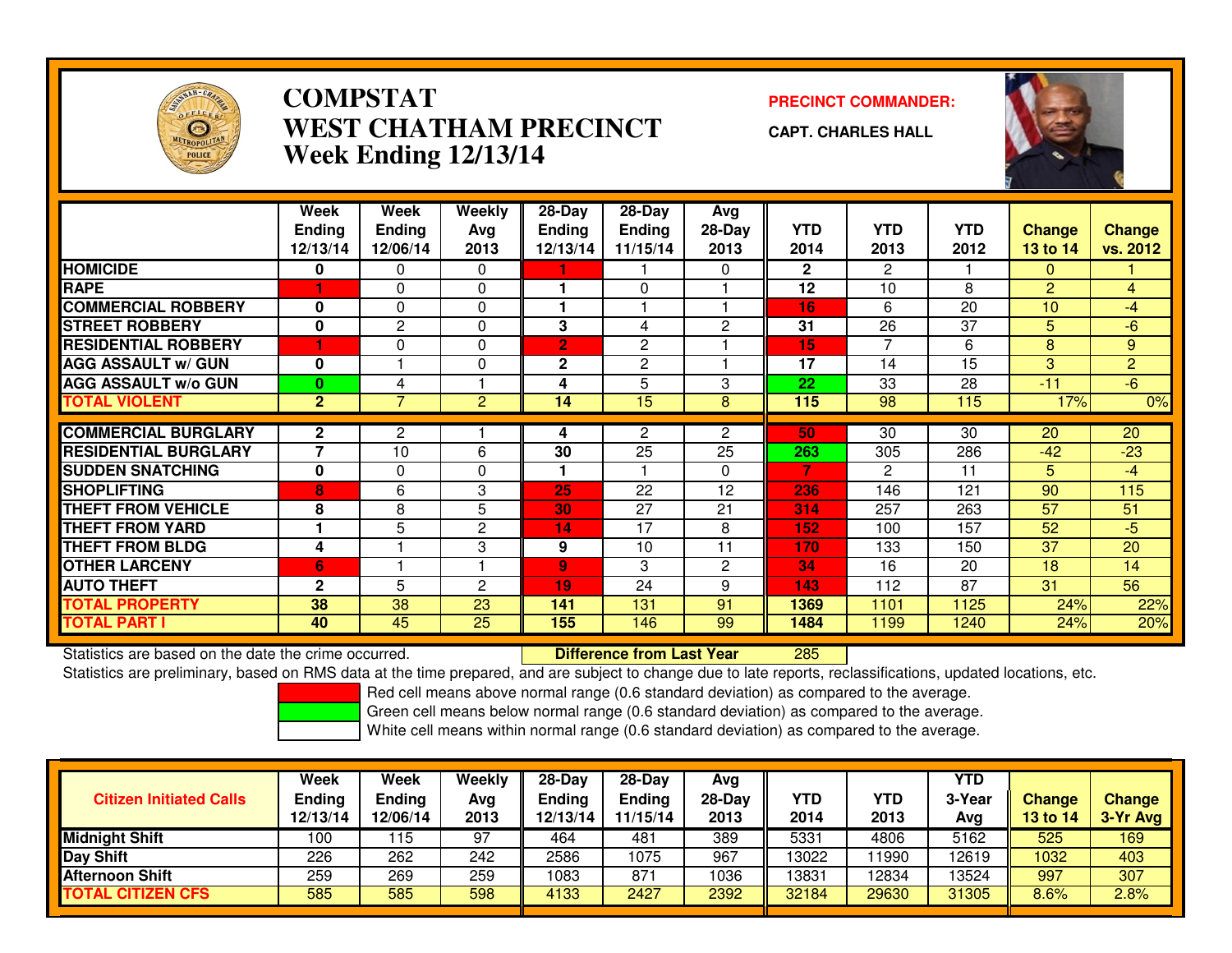

### **COMPSTATPRECINCT COMMANDER:**<br>A TITLA NALIDED TO TALCINE OF THE COMMAND PRECINCT OF THE COMMAND OF THE COMMAND OF THE COMMAND OF THE COMMAND OF THE COMMAND OF THE COMMAND OF THE COMMAND OF THE COMMAND OF THE COMMAND OF THE COMMAND **WEST CHATHAM PRECINCTWeek Ending 12/13/14**

**CAPT. CHARLES HALL**



|                             | Week<br><b>Ending</b><br>12/13/14 | Week<br><b>Ending</b><br>12/06/14 | <b>Weekly</b><br>Ava<br>2013 | $28 - Day$<br><b>Ending</b><br>12/13/14 | $28 - Day$<br><b>Ending</b><br>11/15/14 | Avg<br>28-Day<br>2013 | <b>YTD</b><br>2014 | <b>YTD</b><br>2013 | <b>YTD</b><br>2012 | <b>Change</b><br>13 to 14 | <b>Change</b><br>vs. 2012 |
|-----------------------------|-----------------------------------|-----------------------------------|------------------------------|-----------------------------------------|-----------------------------------------|-----------------------|--------------------|--------------------|--------------------|---------------------------|---------------------------|
| <b>HOMICIDE</b>             | 0                                 | 0                                 | $\Omega$                     |                                         |                                         | $\Omega$              | $\mathbf{2}$       | $\overline{2}$     |                    | $\mathbf{0}$              |                           |
| <b>RAPE</b>                 |                                   | $\Omega$                          | $\Omega$                     |                                         | 0                                       |                       | 12                 | 10                 | 8                  | 2                         | $\overline{4}$            |
| <b>COMMERCIAL ROBBERY</b>   | 0                                 | $\Omega$                          | $\Omega$                     |                                         |                                         |                       | 16                 | 6                  | 20                 | 10                        | $-4$                      |
| <b>STREET ROBBERY</b>       | $\mathbf 0$                       | 2                                 | 0                            | 3                                       | 4                                       | $\overline{2}$        | 31                 | 26                 | 37                 | 5                         | -6                        |
| <b>RESIDENTIAL ROBBERY</b>  |                                   | 0                                 | 0                            | 2                                       | $\mathbf{2}$                            |                       | 15                 | 7                  | 6                  | 8                         | 9                         |
| <b>AGG ASSAULT w/ GUN</b>   | $\mathbf 0$                       |                                   | $\Omega$                     | $\mathbf{2}$                            | 2                                       |                       | 17                 | 14                 | 15                 | 3                         | $\overline{2}$            |
| <b>AGG ASSAULT w/o GUN</b>  | $\bf{0}$                          | 4                                 |                              | 4                                       | 5                                       | 3                     | 22                 | 33                 | 28                 | $-11$                     | $-6$                      |
| <b>TOTAL VIOLENT</b>        | $\overline{2}$                    | 7                                 | $\overline{2}$               | 14                                      | 15                                      | 8                     | 115                | 98                 | 115                | 17%                       | 0%                        |
|                             |                                   |                                   |                              |                                         |                                         |                       |                    |                    |                    |                           |                           |
| <b>COMMERCIAL BURGLARY</b>  | $\mathbf{2}$                      | 2                                 |                              | 4                                       | 2                                       | $\mathbf{2}^{\circ}$  | 50                 | 30                 | 30                 | 20                        | 20                        |
| <b>RESIDENTIAL BURGLARY</b> | $\overline{\phantom{a}}$          | 10                                | 6                            | 30                                      | 25                                      | 25                    | 263                | 305                | 286                | $-42$                     | $-23$                     |
| <b>SUDDEN SNATCHING</b>     | $\mathbf 0$                       | $\Omega$                          | $\Omega$                     |                                         |                                         | $\Omega$              | 7                  | 2                  | 11                 | 5                         | $-4$                      |
| <b>SHOPLIFTING</b>          | 8                                 | 6                                 | 3                            | 25                                      | 22                                      | 12                    | 236                | 146                | 121                | 90                        | 115                       |
| <b>THEFT FROM VEHICLE</b>   | 8                                 | 8                                 | 5                            | 30                                      | 27                                      | 21                    | 314                | 257                | 263                | 57                        | 51                        |
| <b>THEFT FROM YARD</b>      |                                   | 5                                 | $\overline{c}$               | 14                                      | 17                                      | 8                     | 152                | 100                | 157                | 52                        | $-5$                      |
| <b>THEFT FROM BLDG</b>      | 4                                 |                                   | 3                            | 9                                       | 10                                      | 11                    | 170                | 133                | 150                | 37                        | 20                        |
| <b>OTHER LARCENY</b>        | 6                                 |                                   |                              | 9                                       | 3                                       | $\overline{2}$        | 34                 | 16                 | 20                 | 18                        | 14                        |
| <b>AUTO THEFT</b>           | $\mathbf{2}$                      | 5                                 | $\mathbf{2}$                 | 19                                      | 24                                      | 9                     | 143                | 112                | 87                 | 31                        | 56                        |
| <b>TOTAL PROPERTY</b>       | 38                                | 38                                | 23                           | 141                                     | 131                                     | 91                    | 1369               | 1101               | 1125               | 24%                       | 22%                       |
| <b>TOTAL PART I</b>         | 40                                | 45                                | 25                           | 155                                     | 146                                     | 99                    | 1484               | 1199               | 1240               | 24%                       | 20%                       |

Statistics are based on the date the crime occurred. **Difference from Last Year** 

<sup>285</sup>

Statistics are preliminary, based on RMS data at the time prepared, and are subject to change due to late reports, reclassifications, updated locations, etc.

Red cell means above normal range (0.6 standard deviation) as compared to the average.

Green cell means below normal range (0.6 standard deviation) as compared to the average.

| <b>Citizen Initiated Calls</b> | Week<br><b>Ending</b><br>12/13/14 | Week<br>Ending<br>12/06/14 | Weekly<br>Avg<br>2013 | 28-Day<br><b>Ending</b><br>12/13/14 | $28-Day$<br><b>Ending</b><br>11/15/14 | Avg<br>28-Day<br>2013 | YTD<br>2014 | YTD<br>2013 | <b>YTD</b><br>3-Year<br>Avg | <b>Change</b><br>13 to 14 | <b>Change</b><br>3-Yr Avg |
|--------------------------------|-----------------------------------|----------------------------|-----------------------|-------------------------------------|---------------------------------------|-----------------------|-------------|-------------|-----------------------------|---------------------------|---------------------------|
| <b>Midnight Shift</b>          | 100                               | 15                         | 97                    | 464                                 | 481                                   | 389                   | 5331        | 4806        | 5162                        | 525                       | 169                       |
| <b>Day Shift</b>               | 226                               | 262                        | 242                   | 2586                                | 1075                                  | 967                   | 13022       | 1990 ا      | 12619                       | 1032                      | 403                       |
| <b>Afternoon Shift</b>         | 259                               | 269                        | 259                   | 1083                                | 871                                   | 1036                  | 13831       | 12834       | 13524                       | 997                       | 307                       |
| <b>TOTAL CITIZEN CFS</b>       | 585                               | 585                        | 598                   | 4133                                | 2427                                  | 2392                  | 32184       | 29630       | 31305                       | 8.6%                      | 2.8%                      |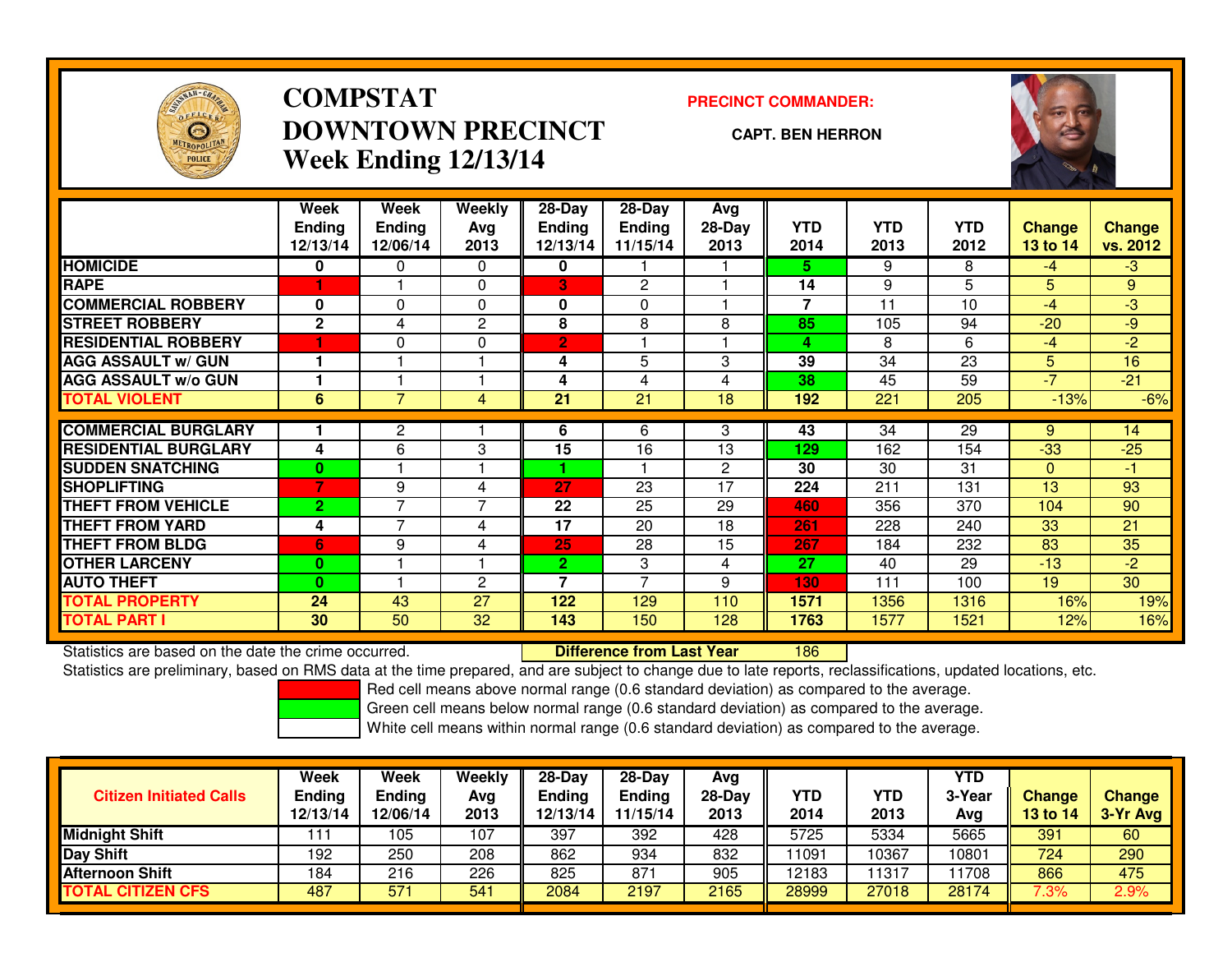

# **COMPSTATDOWNTOWN PRECINCTWeek Ending 12/13/14**

#### **PRECINCT COMMANDER:**

#### **CAPT. BEN HERRON**

<sup>186</sup>



|                             | Week<br><b>Ending</b><br>12/13/14 | Week<br><b>Ending</b><br>12/06/14 | Weekly<br>Avg<br>2013 | $28 - Day$<br><b>Ending</b><br>12/13/14 | $28 - Day$<br><b>Ending</b><br>11/15/14 | Avg<br>28-Day<br>2013 | <b>YTD</b><br>2014       | <b>YTD</b><br>2013 | <b>YTD</b><br>2012 | <b>Change</b><br>13 to 14 | <b>Change</b><br>vs. 2012 |
|-----------------------------|-----------------------------------|-----------------------------------|-----------------------|-----------------------------------------|-----------------------------------------|-----------------------|--------------------------|--------------------|--------------------|---------------------------|---------------------------|
| <b>HOMICIDE</b>             | $\mathbf{0}$                      | 0                                 | $\Omega$              | 0                                       |                                         |                       | 5.                       | 9                  | 8                  | $-4$                      | $-3$                      |
| <b>RAPE</b>                 |                                   |                                   | $\Omega$              | 3                                       | $\overline{2}$                          |                       | 14                       | 9                  | 5                  | 5 <sup>5</sup>            | 9                         |
| <b>COMMERCIAL ROBBERY</b>   | $\mathbf{0}$                      | $\Omega$                          | $\Omega$              | 0                                       | $\Omega$                                |                       | $\overline{\phantom{a}}$ | 11                 | 10                 | $-4$                      | $-3$                      |
| <b>STREET ROBBERY</b>       | $\mathbf{2}$                      | 4                                 | $\overline{c}$        | 8                                       | 8                                       | 8                     | 85                       | 105                | 94                 | $-20$                     | $-9$                      |
| <b>RESIDENTIAL ROBBERY</b>  |                                   | $\Omega$                          | $\Omega$              | $\overline{2}$                          |                                         |                       | 4                        | 8                  | 6                  | $-4$                      | $-2$                      |
| <b>AGG ASSAULT w/ GUN</b>   |                                   |                                   |                       | 4                                       | 5                                       | 3                     | 39                       | 34                 | 23                 | 5 <sup>1</sup>            | 16                        |
| <b>AGG ASSAULT w/o GUN</b>  |                                   |                                   |                       | 4                                       | 4                                       | 4                     | 38                       | 45                 | 59                 | $-7$                      | $-21$                     |
| <b>TOTAL VIOLENT</b>        | 6                                 | $\overline{7}$                    | 4                     | 21                                      | $\overline{21}$                         | 18                    | 192                      | 221                | 205                | $-13%$                    | $-6%$                     |
| <b>COMMERCIAL BURGLARY</b>  |                                   |                                   |                       |                                         |                                         |                       |                          | 34                 | 29                 |                           |                           |
|                             |                                   | $\overline{2}$                    |                       | 6                                       | 6                                       | 3                     | 43                       |                    |                    | 9                         | 14                        |
| <b>RESIDENTIAL BURGLARY</b> | 4                                 | 6                                 | 3                     | 15                                      | 16                                      | 13                    | 129                      | 162                | 154                | $-33$                     | $-25$                     |
| <b>SUDDEN SNATCHING</b>     | $\bf{0}$                          |                                   |                       |                                         |                                         | $\overline{2}$        | 30                       | 30                 | 31                 | $\Omega$                  | $-1$                      |
| <b>ISHOPLIFTING</b>         | 7                                 | 9                                 | 4                     | 27                                      | 23                                      | 17                    | 224                      | 211                | 131                | 13                        | 93                        |
| <b>THEFT FROM VEHICLE</b>   | $\overline{2}$                    | $\overline{7}$                    | 7                     | 22                                      | 25                                      | 29                    | 460                      | 356                | 370                | 104                       | 90                        |
| <b>THEFT FROM YARD</b>      | 4                                 | $\overline{7}$                    | 4                     | 17                                      | 20                                      | 18                    | 261                      | 228                | 240                | 33                        | 21                        |
| <b>THEFT FROM BLDG</b>      | 6                                 | 9                                 | 4                     | 25                                      | 28                                      | 15                    | 267                      | 184                | 232                | 83                        | 35                        |
| <b>OTHER LARCENY</b>        | $\mathbf{0}$                      |                                   |                       | $\mathbf{2}$                            | 3                                       | 4                     | 27                       | 40                 | 29                 | $-13$                     | $-2$                      |
| <b>AUTO THEFT</b>           | $\mathbf{0}$                      |                                   | $\overline{c}$        | 7                                       | 7                                       | 9                     | 130                      | 111                | 100                | 19                        | 30                        |
| TOTAL PROPERTY              | 24                                | 43                                | 27                    | 122                                     | 129                                     | 110                   | 1571                     | 1356               | 1316               | 16%                       | 19%                       |
| <b>TOTAL PART I</b>         | 30                                | 50                                | 32                    | 143                                     | 150                                     | 128                   | 1763                     | 1577               | 1521               | 12%                       | 16%                       |

Statistics are based on the date the crime occurred. **Difference from Last Year** 

Statistics are preliminary, based on RMS data at the time prepared, and are subject to change due to late reports, reclassifications, updated locations, etc.

Red cell means above normal range (0.6 standard deviation) as compared to the average.

Green cell means below normal range (0.6 standard deviation) as compared to the average.

| <b>Citizen Initiated Calls</b> | Week<br><b>Ending</b><br>12/13/14 | Week<br><b>Ending</b><br>12/06/14 | Weekly<br>Avg<br>2013 | $28-Day$<br><b>Ending</b><br>12/13/14 | $28-Dav$<br><b>Ending</b><br>11/15/14 | Avg<br>28-Day<br>2013 | YTD<br>2014 | YTD<br>2013 | <b>YTD</b><br>3-Year<br>Avg | <b>Change</b><br><b>13 to 14</b> | <b>Change</b><br>3-Yr Avg |
|--------------------------------|-----------------------------------|-----------------------------------|-----------------------|---------------------------------------|---------------------------------------|-----------------------|-------------|-------------|-----------------------------|----------------------------------|---------------------------|
| <b>Midnight Shift</b>          | 111                               | 105                               | 107                   | 397                                   | 392                                   | 428                   | 5725        | 5334        | 5665                        | 391                              | 60                        |
| Day Shift                      | 192                               | 250                               | 208                   | 862                                   | 934                                   | 832                   | 1091        | 10367       | 10801                       | 724                              | 290                       |
| <b>Afternoon Shift</b>         | 184                               | 216                               | 226                   | 825                                   | $87 -$                                | 905                   | 12183       | 11317       | 1708                        | 866                              | 475                       |
| <b>TOTAL CITIZEN CFS</b>       | 487                               | $57^{\circ}$                      | 541                   | 2084                                  | 2197                                  | 2165                  | 28999       | 27018       | 28174                       | 7.3%                             | 2.9%                      |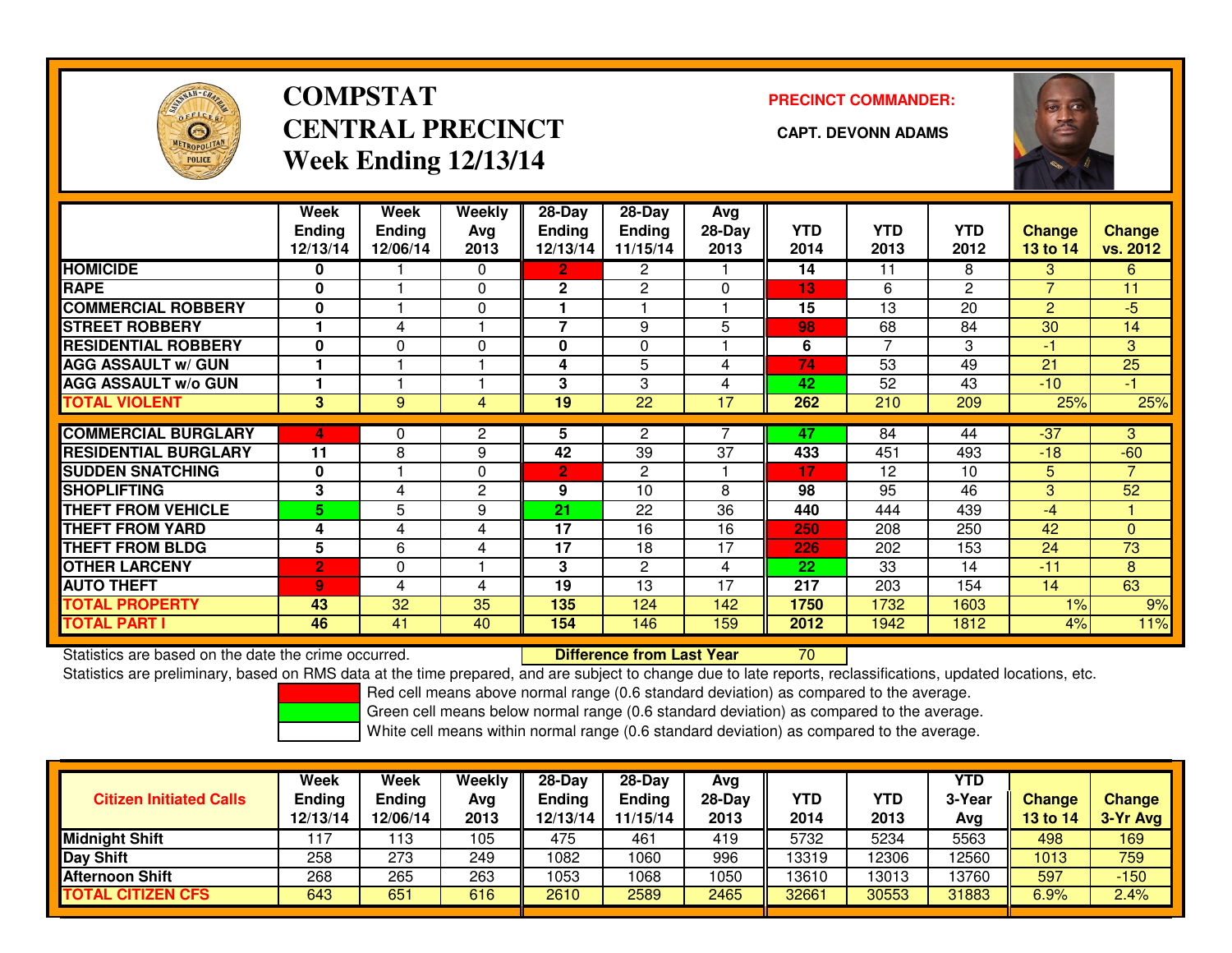

# **COMPSTATCENTRAL PRECINCT** CAPT. DEVONN ADAMS **Week Ending 12/13/14**

**PRECINCT COMMANDER:**



|                             | Week<br><b>Endina</b><br>12/13/14 | Week<br><b>Ending</b><br>12/06/14 | Weekly<br>Ava<br>2013 | $28-Day$<br><b>Endina</b><br>12/13/14 | $28$ -Day<br><b>Endina</b><br>11/15/14 | Avg<br>$28-Day$<br>2013 | <b>YTD</b><br>2014 | <b>YTD</b><br>2013 | <b>YTD</b><br>2012 | <b>Change</b><br>13 to 14 | <b>Change</b><br>vs. 2012 |
|-----------------------------|-----------------------------------|-----------------------------------|-----------------------|---------------------------------------|----------------------------------------|-------------------------|--------------------|--------------------|--------------------|---------------------------|---------------------------|
| <b>HOMICIDE</b>             | 0                                 |                                   | 0                     | $\overline{2}$                        | 2                                      |                         | 14                 | 11                 | 8                  | 3                         | 6                         |
| <b>RAPE</b>                 | $\mathbf{0}$                      |                                   | $\Omega$              | $\mathbf{2}$                          | 2                                      | $\Omega$                | 13                 | 6                  | $\mathbf{2}$       | $\overline{7}$            | 11                        |
| <b>COMMERCIAL ROBBERY</b>   | $\bf{0}$                          |                                   | 0                     |                                       |                                        |                         | 15                 | 13                 | 20                 | $\overline{2}$            | $-5$                      |
| <b>STREET ROBBERY</b>       |                                   | 4                                 |                       | $\overline{\phantom{a}}$              | 9                                      | 5                       | 98                 | 68                 | 84                 | 30                        | 14                        |
| <b>RESIDENTIAL ROBBERY</b>  | $\bf{0}$                          | $\Omega$                          | 0                     | $\bf{0}$                              | $\Omega$                               |                         | 6                  | 7                  | 3                  | $-1$                      | 3                         |
| <b>AGG ASSAULT w/ GUN</b>   |                                   |                                   |                       | 4                                     | 5                                      | 4                       | 74                 | 53                 | 49                 | 21                        | 25                        |
| <b>AGG ASSAULT w/o GUN</b>  |                                   |                                   |                       | 3                                     | 3                                      | 4                       | 42                 | 52                 | 43                 | $-10$                     | -1.                       |
| <b>TOTAL VIOLENT</b>        | 3                                 | 9                                 | 4                     | 19                                    | 22                                     | 17                      | 262                | 210                | 209                | 25%                       | 25%                       |
|                             |                                   |                                   |                       |                                       |                                        |                         |                    |                    |                    |                           |                           |
| <b>COMMERCIAL BURGLARY</b>  | 4                                 | 0                                 | $\mathbf{2}$          | 5                                     | $\overline{2}$                         |                         | 47                 | 84                 | 44                 | $-37$                     | 3                         |
| <b>RESIDENTIAL BURGLARY</b> | 11                                | 8                                 | 9                     | 42                                    | 39                                     | 37                      | 433                | 451                | 493                | $-18$                     | $-60$                     |
| <b>SUDDEN SNATCHING</b>     | 0                                 |                                   | 0                     | 2                                     | $\overline{c}$                         |                         | 17                 | 12                 | 10                 | 5                         | $\overline{7}$            |
| <b>SHOPLIFTING</b>          | 3                                 | 4                                 | $\mathbf{2}$          | 9                                     | 10                                     | 8                       | 98                 | 95                 | 46                 | 3                         | 52                        |
| <b>THEFT FROM VEHICLE</b>   | 5.                                | 5                                 | 9                     | 21                                    | 22                                     | 36                      | 440                | 444                | 439                | $-4$                      |                           |
| <b>THEFT FROM YARD</b>      | 4                                 | 4                                 | 4                     | 17                                    | 16                                     | 16                      | 250                | 208                | 250                | 42                        | $\Omega$                  |
| <b>THEFT FROM BLDG</b>      | 5                                 | 6                                 | 4                     | 17                                    | 18                                     | 17                      | 226                | 202                | 153                | 24                        | 73                        |
| <b>OTHER LARCENY</b>        | $\overline{2}$                    | 0                                 |                       | 3                                     | $\mathbf{2}$                           | 4                       | 22                 | 33                 | 14                 | $-11$                     | 8                         |
| <b>AUTO THEFT</b>           | $\overline{9}$                    | 4                                 | 4                     | 19                                    | 13                                     | 17                      | 217                | 203                | 154                | 14                        | 63                        |
| <b>TOTAL PROPERTY</b>       | 43                                | 32                                | 35                    | 135                                   | 124                                    | 142                     | 1750               | 1732               | 1603               | 1%                        | 9%                        |
| <b>TOTAL PART I</b>         | 46                                | 41                                | 40                    | 154                                   | 146                                    | 159                     | 2012               | 1942               | 1812               | 4%                        | 11%                       |

Statistics are based on the date the crime occurred. **Difference from Last Year** 

Statistics are based on the date the crime occurred.<br>Statistics are preliminary, based on RMS data at the time prepared, and are subject to change due to late reports, reclassifications, updated locations, etc.

Red cell means above normal range (0.6 standard deviation) as compared to the average.

Green cell means below normal range (0.6 standard deviation) as compared to the average.

| <b>Citizen Initiated Calls</b> | Week<br>Ending<br>12/13/14 | Week<br>Ending<br>12/06/14 | Weekly<br>Avg<br>2013 | $28-Day$<br><b>Ending</b><br>12/13/14 | 28-Day<br><b>Ending</b><br>11/15/14 | Avg<br>28-Day<br>2013 | YTD<br>2014 | YTD<br>2013 | YTD<br>3-Year<br>Avg | <b>Change</b><br>13 to 14 | <b>Change</b><br>3-Yr Avg |
|--------------------------------|----------------------------|----------------------------|-----------------------|---------------------------------------|-------------------------------------|-----------------------|-------------|-------------|----------------------|---------------------------|---------------------------|
| <b>Midnight Shift</b>          |                            | 13                         | 105                   | 475                                   | 461                                 | 419                   | 5732        | 5234        | 5563                 | 498                       | 169                       |
| Day Shift                      | 258                        | 273                        | 249                   | 1082                                  | 1060                                | 996                   | 13319       | 12306       | 12560                | 1013                      | 759                       |
| <b>Afternoon Shift</b>         | 268                        | 265                        | 263                   | 1053                                  | 1068                                | 1050                  | 13610       | 3013        | 13760                | 597                       | $-150$                    |
| <b>TOTAL CITIZEN CFS</b>       | 643                        | 651                        | 616                   | 2610                                  | 2589                                | 2465                  | 32661       | 30553       | 31883                | 6.9%                      | 2.4%                      |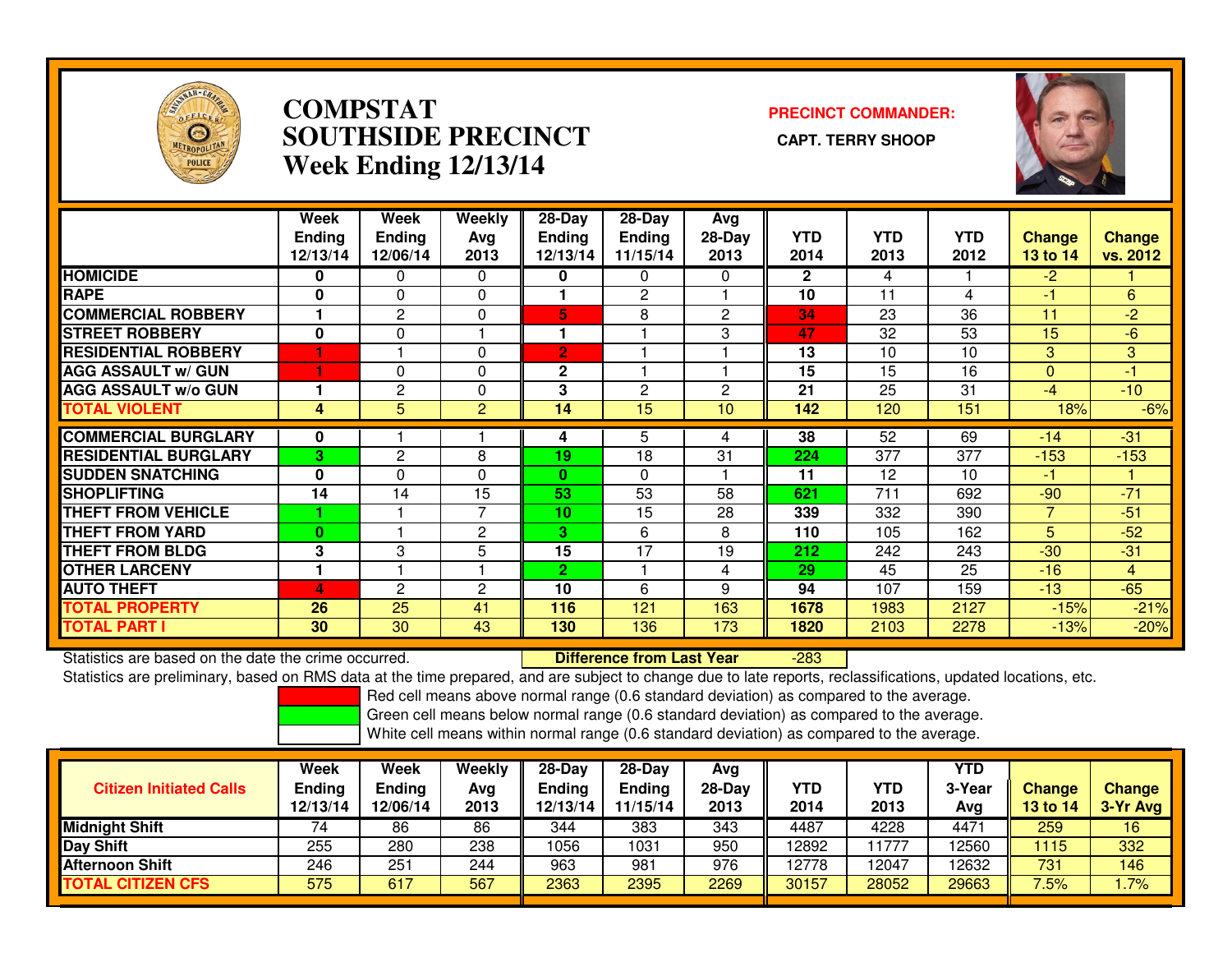

## **COMPSTAT PRECINCT COMMANDER: SOUTHSIDE PRECINCT CAPT. TERRY SHOOPWeek Ending 12/13/14**



|                             | Week<br><b>Endina</b><br>12/13/14 | <b>Week</b><br><b>Ending</b><br>12/06/14 | <b>Weekly</b><br>Avg<br>2013 | $28 - Day$<br><b>Ending</b><br>12/13/14 | $28 - Day$<br><b>Ending</b><br>11/15/14 | Avg<br>$28-Day$<br>2013 | <b>YTD</b><br>2014 | <b>YTD</b><br>2013 | <b>YTD</b><br>2012 | <b>Change</b><br>13 to 14 | <b>Change</b><br>vs. 2012 |
|-----------------------------|-----------------------------------|------------------------------------------|------------------------------|-----------------------------------------|-----------------------------------------|-------------------------|--------------------|--------------------|--------------------|---------------------------|---------------------------|
| <b>HOMICIDE</b>             | 0                                 | $\Omega$                                 | $\Omega$                     | 0                                       | 0                                       | $\Omega$                | $\mathbf{2}$       | 4                  |                    | $-2$                      |                           |
| <b>RAPE</b>                 | 0                                 | $\Omega$                                 | 0                            |                                         | 2                                       |                         | 10                 | 11                 | 4                  | -1                        | 6                         |
| <b>COMMERCIAL ROBBERY</b>   |                                   | 2                                        | $\Omega$                     | 5                                       | 8                                       | $\overline{2}$          | 34                 | 23                 | 36                 | 11                        | $-2$                      |
| <b>STREET ROBBERY</b>       | $\mathbf{0}$                      | $\Omega$                                 |                              |                                         |                                         | 3                       | 47                 | 32                 | 53                 | 15                        | $-6$                      |
| <b>RESIDENTIAL ROBBERY</b>  |                                   |                                          | $\Omega$                     | $\overline{2}$                          |                                         |                         | 13                 | 10                 | 10                 | 3                         | 3                         |
| <b>AGG ASSAULT w/ GUN</b>   |                                   | 0                                        | $\Omega$                     | $\mathbf{2}$                            |                                         |                         | 15                 | 15                 | 16                 | $\Omega$                  | -1                        |
| <b>AGG ASSAULT w/o GUN</b>  |                                   | $\overline{2}$                           | 0                            | 3                                       | 2                                       | 2                       | 21                 | 25                 | 31                 | $-4$                      | $-10$                     |
| <b>TOTAL VIOLENT</b>        | 4                                 | 5                                        | $\overline{2}$               | 14                                      | 15                                      | 10                      | 142                | 120                | 151                | 18%                       | $-6%$                     |
| <b>COMMERCIAL BURGLARY</b>  | 0                                 |                                          |                              | 4                                       | 5.                                      | 4                       | 38                 | 52                 | 69                 | $-14$                     | $-31$                     |
| <b>RESIDENTIAL BURGLARY</b> | 3                                 | $\mathbf{2}$                             | 8                            | 19                                      | 18                                      | 31                      | 224                | 377                | 377                | $-153$                    | $-153$                    |
| <b>SUDDEN SNATCHING</b>     | $\bf{0}$                          | $\Omega$                                 | $\Omega$                     | $\mathbf{0}$                            | $\Omega$                                |                         | 11                 | 12                 | 10                 | $-1$                      |                           |
| <b>ISHOPLIFTING</b>         | 14                                | 14                                       | 15                           | 53                                      | 53                                      | 58                      | 621                | 711                | 692                | $-90$                     | $-71$                     |
| <b>THEFT FROM VEHICLE</b>   |                                   |                                          | 7                            | 10                                      | 15                                      | 28                      | 339                | 332                | 390                | 7                         | $-51$                     |
| <b>THEFT FROM YARD</b>      | $\bf{0}$                          |                                          | 2                            | 3                                       | 6                                       | 8                       | 110                | 105                | 162                | 5                         | $-52$                     |
| <b>THEFT FROM BLDG</b>      | 3                                 | 3                                        | 5                            | 15                                      | 17                                      | 19                      | 212                | 242                | 243                | $-30$                     | $-31$                     |
| <b>OTHER LARCENY</b>        |                                   |                                          |                              | $\mathbf{2}$                            |                                         | 4                       | 29                 | 45                 | 25                 | $-16$                     | $\overline{4}$            |
| <b>AUTO THEFT</b>           | 4                                 | 2                                        | 2                            | 10                                      | 6                                       | 9                       | 94                 | 107                | 159                | $-13$                     | $-65$                     |
| <b>TOTAL PROPERTY</b>       | 26                                | 25                                       | 41                           | 116                                     | 121                                     | 163                     | 1678               | 1983               | 2127               | $-15%$                    | $-21%$                    |
| <b>TOTAL PART I</b>         | 30                                | 30                                       | 43                           | 130                                     | 136                                     | 173                     | 1820               | 2103               | 2278               | $-13%$                    | $-20%$                    |

Statistics are based on the date the crime occurred. **Difference from Last Year** 

-283

Statistics are preliminary, based on RMS data at the time prepared, and are subject to change due to late reports, reclassifications, updated locations, etc.

Red cell means above normal range (0.6 standard deviation) as compared to the average.

Green cell means below normal range (0.6 standard deviation) as compared to the average.

| <b>Citizen Initiated Calls</b> | Week<br><b>Ending</b><br>12/13/14 | Week<br><b>Ending</b><br>12/06/14 | Weekly<br>Avg<br>2013 | $28$ -Dav<br>Ending<br>12/13/14 | $28-Dav$<br><b>Ending</b><br>11/15/14 | Avg<br>$28-Day$<br>2013 | <b>YTD</b><br>2014 | YTD<br>2013 | <b>YTD</b><br>3-Year<br>Avg | <b>Change</b><br>13 to 14 | <b>Change</b><br>3-Yr Avg |
|--------------------------------|-----------------------------------|-----------------------------------|-----------------------|---------------------------------|---------------------------------------|-------------------------|--------------------|-------------|-----------------------------|---------------------------|---------------------------|
| <b>Midnight Shift</b>          |                                   | 86                                | 86                    | 344                             | 383                                   | 343                     | 4487               | 4228        | 4471                        | 259                       | 16                        |
| <b>Day Shift</b>               | 255                               | 280                               | 238                   | 1056                            | 1031                                  | 950                     | 12892              | 1777        | 12560                       | 1115                      | 332                       |
| <b>Afternoon Shift</b>         | 246                               | 251                               | 244                   | 963                             | 981                                   | 976                     | 12778              | 2047        | 12632                       | 731                       | 146                       |
| <b>TOTAL CITIZEN CFS</b>       | 575                               | 617                               | 567                   | 2363                            | 2395                                  | 2269                    | 30157              | 28052       | 29663                       | 7.5%                      | $.7\%$                    |
|                                |                                   |                                   |                       |                                 |                                       |                         |                    |             |                             |                           |                           |